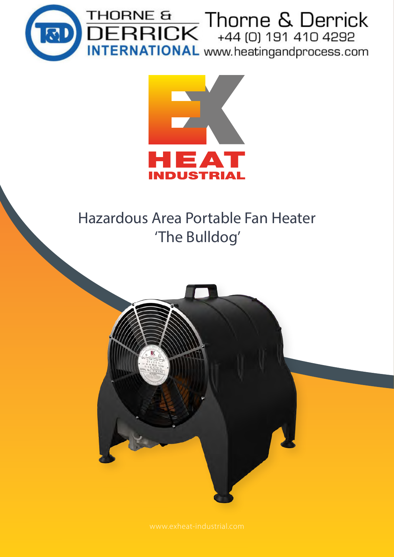



# Hazardous Area Portable Fan Heater 'The Bulldog'

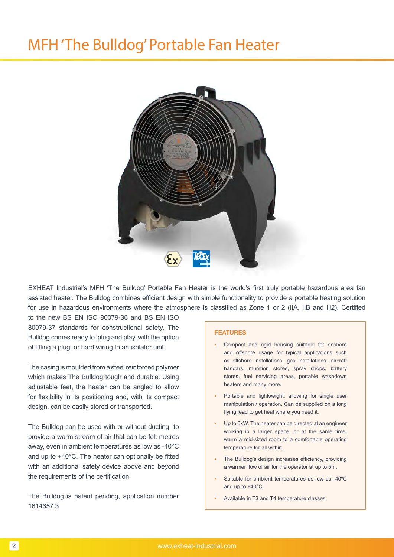# MFH 'The Bulldog' Portable Fan Heater



EXHEAT Industrial's MFH 'The Bulldog' Portable Fan Heater is the world's first truly portable hazardous area fan assisted heater. The Bulldog combines efficient design with simple functionality to provide a portable heating solution for use in hazardous environments where the atmosphere is classified as Zone 1 or 2 (IIA, IIB and H2). Certified

to the new BS EN ISO 80079-36 and BS EN ISO 80079-37 standards for constructional safety, The Bulldog comes ready to 'plug and play' with the option of fitting a plug, or hard wiring to an isolator unit.

The casing is moulded from a steel reinforced polymer which makes The Bulldog tough and durable. Using adjustable feet, the heater can be angled to allow for flexibility in its positioning and, with its compact design, can be easily stored or transported.

The Bulldog can be used with or without ducting to provide a warm stream of air that can be felt metres away, even in ambient temperatures as low as -40°C and up to +40°C. The heater can optionally be fitted with an additional safety device above and beyond the requirements of the certification.

The Bulldog is patent pending, application number 1614657.3

### **FEATURES**

- Compact and rigid housing suitable for onshore and offshore usage for typical applications such as offshore installations, gas installations, aircraft hangars, munition stores, spray shops, battery stores, fuel servicing areas, portable washdown heaters and many more.
- Portable and lightweight, allowing for single user manipulation / operation. Can be supplied on a long flying lead to get heat where you need it.
- Up to 6kW. The heater can be directed at an engineer working in a larger space, or at the same time, warm a mid-sized room to a comfortable operating temperature for all within.
- The Bulldog's design increases efficiency, providing a warmer flow of air for the operator at up to 5m.
- Suitable for ambient temperatures as low as -40ºC and up to +40°C.
- Available in T3 and T4 temperature classes.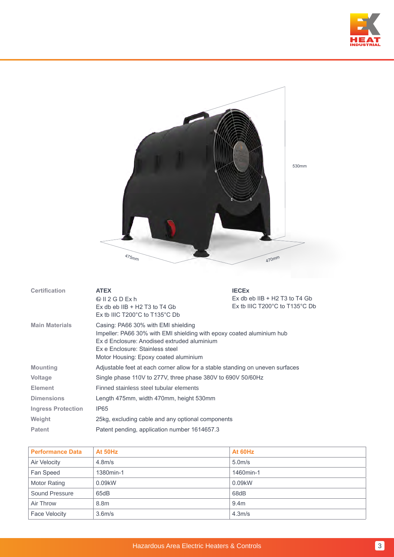



| <b>Certification</b>      | <b>ATEX</b><br>$\circledR$ II 2 G D Ex h<br>Ex db eb $IB + H2$ T3 to T4 Gb<br>Ex tb IIIC $T200^{\circ}$ C to $T135^{\circ}$ C Db                                                                                                        | <b>IECEX</b><br>Ex db eb IIB $+$ H2 T3 to T4 Gb<br>Ex tb IIIC $T200^{\circ}$ C to $T135^{\circ}$ C Db |  |  |  |  |  |
|---------------------------|-----------------------------------------------------------------------------------------------------------------------------------------------------------------------------------------------------------------------------------------|-------------------------------------------------------------------------------------------------------|--|--|--|--|--|
| <b>Main Materials</b>     | Casing: PA66 30% with EMI shielding<br>Impeller: PA66 30% with EMI shielding with epoxy coated aluminium hub<br>Ex d Enclosure: Anodised extruded aluminium<br>Ex e Enclosure: Stainless steel<br>Motor Housing: Epoxy coated aluminium |                                                                                                       |  |  |  |  |  |
| <b>Mounting</b>           | Adjustable feet at each corner allow for a stable standing on uneven surfaces                                                                                                                                                           |                                                                                                       |  |  |  |  |  |
| <b>Voltage</b>            | Single phase 110V to 277V, three phase 380V to 690V 50/60Hz                                                                                                                                                                             |                                                                                                       |  |  |  |  |  |
| <b>Element</b>            | Finned stainless steel tubular elements                                                                                                                                                                                                 |                                                                                                       |  |  |  |  |  |
| <b>Dimensions</b>         | Length 475mm, width 470mm, height 530mm                                                                                                                                                                                                 |                                                                                                       |  |  |  |  |  |
| <b>Ingress Protection</b> | IP <sub>65</sub>                                                                                                                                                                                                                        |                                                                                                       |  |  |  |  |  |
| Weight                    | 25kg, excluding cable and any optional components                                                                                                                                                                                       |                                                                                                       |  |  |  |  |  |
| <b>Patent</b>             | Patent pending, application number 1614657.3                                                                                                                                                                                            |                                                                                                       |  |  |  |  |  |

| <b>Performance Data</b> | At 50Hz             | At 60Hz             |
|-------------------------|---------------------|---------------------|
| Air Velocity            | 4.8 <sub>m/s</sub>  | 5.0 <sub>m</sub> /s |
| Fan Speed               | 1380min-1           | 1460min-1           |
| <b>Motor Rating</b>     | 0.09kW              | 0.09kW              |
| Sound Pressure          | 65dB                | 68dB                |
| Air Throw               | 8.8m                | 9.4 <sub>m</sub>    |
| <b>Face Velocity</b>    | 3.6 <sub>m</sub> /s | 4.3 <sub>m</sub> /s |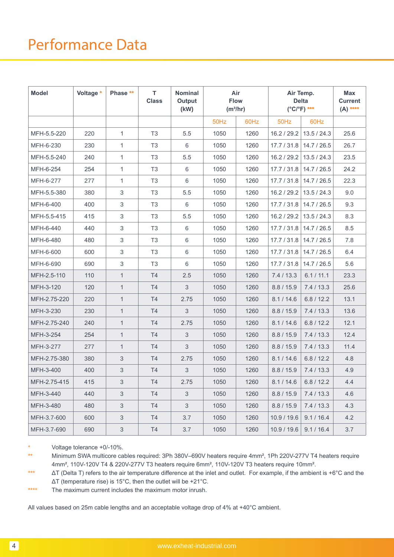# Performance Data

| <b>Model</b> | Voltage * | Phase **                  | T.<br><b>Class</b> | <b>Nominal</b><br>Output<br>(kW) | Air<br><b>Flow</b><br>$(m^3/hr)$ |      | Air Temp.<br><b>Delta</b><br>$(^{\circ}C/^{\circ}F)$ *** |             | <b>Max</b><br><b>Current</b><br>$(A)$ **** |
|--------------|-----------|---------------------------|--------------------|----------------------------------|----------------------------------|------|----------------------------------------------------------|-------------|--------------------------------------------|
|              |           |                           |                    |                                  | 50Hz                             | 60Hz | 50Hz                                                     | 60Hz        |                                            |
| MFH-5.5-220  | 220       | $\mathbf{1}$              | T <sub>3</sub>     | 5.5                              | 1050                             | 1260 | 16.2 / 29.2                                              | 13.5 / 24.3 | 25.6                                       |
| MFH-6-230    | 230       | $\mathbf{1}$              | T <sub>3</sub>     | 6                                | 1050                             | 1260 | 17.7 / 31.8                                              | 14.7 / 26.5 | 26.7                                       |
| MFH-5.5-240  | 240       | $\mathbf{1}$              | T <sub>3</sub>     | 5.5                              | 1050                             | 1260 | 16.2 / 29.2                                              | 13.5 / 24.3 | 23.5                                       |
| MFH-6-254    | 254       | $\mathbf{1}$              | T <sub>3</sub>     | 6                                | 1050                             | 1260 | 17.7 / 31.8                                              | 14.7 / 26.5 | 24.2                                       |
| MFH-6-277    | 277       | $\mathbf{1}$              | T <sub>3</sub>     | 6                                | 1050                             | 1260 | 17.7 / 31.8                                              | 14.7 / 26.5 | 22.3                                       |
| MFH-5.5-380  | 380       | 3                         | T <sub>3</sub>     | 5.5                              | 1050                             | 1260 | 16.2 / 29.2                                              | 13.5 / 24.3 | 9.0                                        |
| MFH-6-400    | 400       | 3                         | T <sub>3</sub>     | 6                                | 1050                             | 1260 | 17.7 / 31.8                                              | 14.7 / 26.5 | 9.3                                        |
| MFH-5.5-415  | 415       | $\sqrt{3}$                | T <sub>3</sub>     | 5.5                              | 1050                             | 1260 | 16.2 / 29.2                                              | 13.5 / 24.3 | 8.3                                        |
| MFH-6-440    | 440       | 3                         | T <sub>3</sub>     | 6                                | 1050                             | 1260 | 17.7 / 31.8                                              | 14.7 / 26.5 | 8.5                                        |
| MFH-6-480    | 480       | $\sqrt{3}$                | T <sub>3</sub>     | $\,6$                            | 1050                             | 1260 | 17.7 / 31.8                                              | 14.7 / 26.5 | 7.8                                        |
| MFH-6-600    | 600       | 3                         | T <sub>3</sub>     | 6                                | 1050                             | 1260 | 17.7 / 31.8                                              | 14.7 / 26.5 | 6.4                                        |
| MFH-6-690    | 690       | $\sqrt{3}$                | T <sub>3</sub>     | $\,6$                            | 1050                             | 1260 | 17.7 / 31.8                                              | 14.7 / 26.5 | 5.6                                        |
| MFH-2.5-110  | 110       | $\mathbf{1}$              | T4                 | 2.5                              | 1050                             | 1260 | 7.4 / 13.3                                               | 6.1 / 11.1  | 23.3                                       |
| MFH-3-120    | 120       | $\mathbf{1}$              | T4                 | $\mathfrak{S}$                   | 1050                             | 1260 | 8.8 / 15.9                                               | 7.4 / 13.3  | 25.6                                       |
| MFH-2.75-220 | 220       | 1                         | T <sub>4</sub>     | 2.75                             | 1050                             | 1260 | 8.1 / 14.6                                               | 6.8 / 12.2  | 13.1                                       |
| MFH-3-230    | 230       | $\mathbf{1}$              | T <sub>4</sub>     | $\mathfrak{B}$                   | 1050                             | 1260 | 8.8 / 15.9                                               | 7.4 / 13.3  | 13.6                                       |
| MFH-2.75-240 | 240       | 1                         | T <sub>4</sub>     | 2.75                             | 1050                             | 1260 | 8.1 / 14.6                                               | 6.8 / 12.2  | 12.1                                       |
| MFH-3-254    | 254       | $\mathbf{1}$              | T <sub>4</sub>     | $\mathfrak{B}$                   | 1050                             | 1260 | 8.8 / 15.9                                               | 7.4 / 13.3  | 12.4                                       |
| MFH-3-277    | 277       | 1                         | T <sub>4</sub>     | 3                                | 1050                             | 1260 | 8.8 / 15.9                                               | 7.4 / 13.3  | 11.4                                       |
| MFH-2.75-380 | 380       | $\sqrt{3}$                | T <sub>4</sub>     | 2.75                             | 1050                             | 1260 | 8.1 / 14.6                                               | 6.8 / 12.2  | 4.8                                        |
| MFH-3-400    | 400       | $\sqrt{3}$                | T <sub>4</sub>     | 3                                | 1050                             | 1260 | 8.8 / 15.9                                               | 7.4 / 13.3  | 4.9                                        |
| MFH-2.75-415 | 415       | $\ensuremath{\mathsf{3}}$ | T4                 | 2.75                             | 1050                             | 1260 | 8.1 / 14.6                                               | 6.8 / 12.2  | 4.4                                        |
| MFH-3-440    | 440       | 3                         | T4                 | 3                                | 1050                             | 1260 | 8.8 / 15.9                                               | 7.4/13.3    | 4.6                                        |
| MFH-3-480    | 480       | 3                         | T4                 | 3                                | 1050                             | 1260 | 8.8 / 15.9                                               | 7.4/13.3    | 4.3                                        |
| MFH-3.7-600  | 600       | 3                         | T <sub>4</sub>     | 3.7                              | 1050                             | 1260 | 10.9 / 19.6                                              | 9.1 / 16.4  | 4.2                                        |
| MFH-3.7-690  | 690       | $\ensuremath{\mathsf{3}}$ | T4                 | 3.7                              | 1050                             | 1260 | 10.9 / 19.6                                              | 9.1 / 16.4  | 3.7                                        |

Voltage tolerance +0/-10%.

\*\* Minimum SWA multicore cables required: 3Ph 380V–690V heaters require 4mm², 1Ph 220V-277V T4 heaters require 4mm², 110V-120V T4 & 220V-277V T3 heaters require 6mm², 110V-120V T3 heaters require 10mm².

\*\*\* ΔT (Delta T) refers to the air temperature difference at the inlet and outlet. For example, if the ambient is +6°C and the ΔT (temperature rise) is 15°C, then the outlet will be +21°C.

\*\*\*\* The maximum current includes the maximum motor inrush.

All values based on 25m cable lengths and an acceptable voltage drop of 4% at +40°C ambient.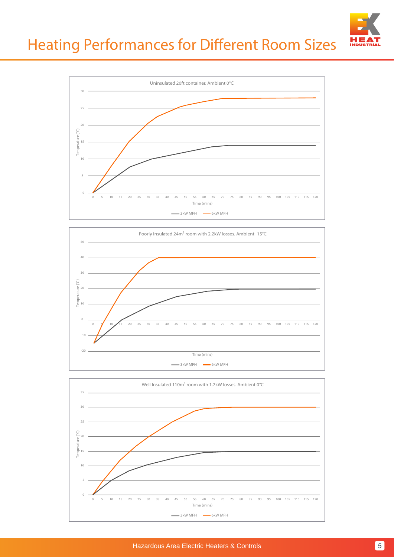





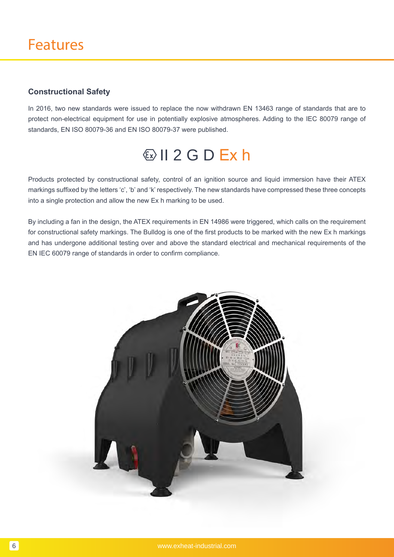# **Constructional Safety**

In 2016, two new standards were issued to replace the now withdrawn EN 13463 range of standards that are to protect non-electrical equipment for use in potentially explosive atmospheres. Adding to the IEC 80079 range of standards, EN ISO 80079-36 and EN ISO 80079-37 were published.

# $\langle x \rangle$  | 2 G D Ex h

Products protected by constructional safety, control of an ignition source and liquid immersion have their ATEX markings suffixed by the letters 'c', 'b' and 'k' respectively. The new standards have compressed these three concepts into a single protection and allow the new Ex h marking to be used.

By including a fan in the design, the ATEX requirements in EN 14986 were triggered, which calls on the requirement for constructional safety markings. The Bulldog is one of the first products to be marked with the new Ex h markings and has undergone additional testing over and above the standard electrical and mechanical requirements of the EN IEC 60079 range of standards in order to confirm compliance.

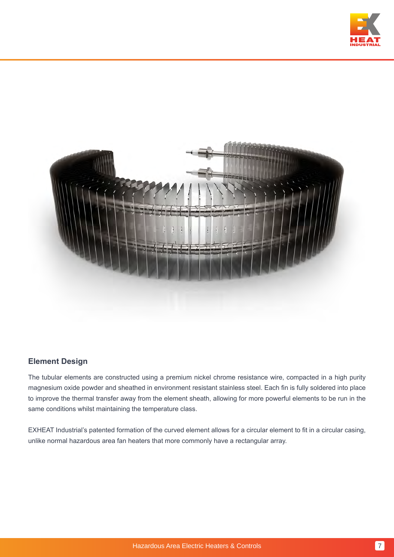



# **Element Design**

The tubular elements are constructed using a premium nickel chrome resistance wire, compacted in a high purity magnesium oxide powder and sheathed in environment resistant stainless steel. Each fin is fully soldered into place to improve the thermal transfer away from the element sheath, allowing for more powerful elements to be run in the same conditions whilst maintaining the temperature class.

EXHEAT Industrial's patented formation of the curved element allows for a circular element to fit in a circular casing, unlike normal hazardous area fan heaters that more commonly have a rectangular array.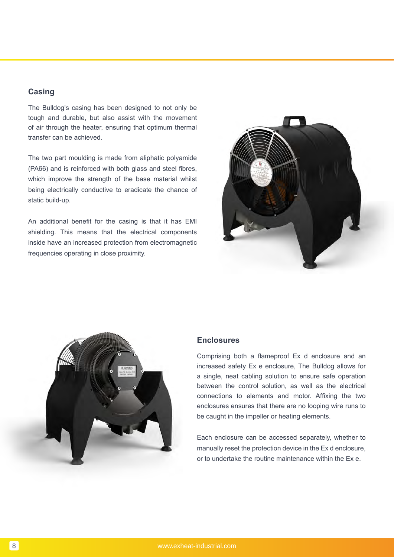## **Casing**

The Bulldog's casing has been designed to not only be tough and durable, but also assist with the movement of air through the heater, ensuring that optimum thermal transfer can be achieved.

The two part moulding is made from aliphatic polyamide (PA66) and is reinforced with both glass and steel fibres, which improve the strength of the base material whilst being electrically conductive to eradicate the chance of static build-up.

An additional benefit for the casing is that it has EMI shielding. This means that the electrical components inside have an increased protection from electromagnetic frequencies operating in close proximity.





### **Enclosures**

Comprising both a flameproof Ex d enclosure and an increased safety Ex e enclosure, The Bulldog allows for a single, neat cabling solution to ensure safe operation between the control solution, as well as the electrical connections to elements and motor. Affixing the two enclosures ensures that there are no looping wire runs to be caught in the impeller or heating elements.

Each enclosure can be accessed separately, whether to manually reset the protection device in the Ex d enclosure, or to undertake the routine maintenance within the Ex e.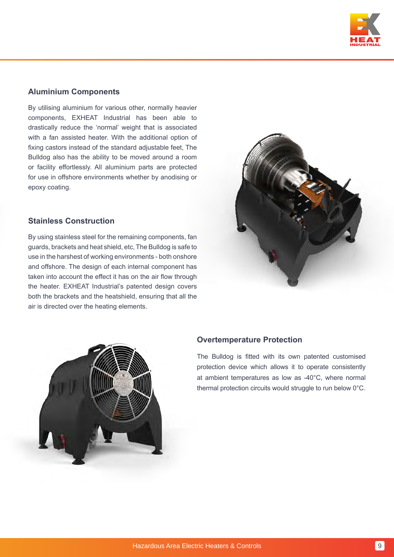

### **Aluminium Components**

By utilising aluminium for various other, normally heavier components, EXHEAT Industrial has been able to drastically reduce the 'normal' weight that is associated with a fan assisted heater. With the additional option of fixing castors instead of the standard adjustable feet, The Bulldog also has the ability to be moved around a room or facility effortlessly. All aluminium parts are protected for use in offshore environments whether by anodising or epoxy coating.

### **Stainless Construction**

By using stainless steel for the remaining components, fan guards, brackets and heat shield, etc, The Bulldog is safe to use in the harshest of working environments - both onshore and offshore. The design of each internal component has taken into account the effect it has on the air flow through the heater. EXHEAT Industrial's patented design covers both the brackets and the heatshield, ensuring that all the air is directed over the heating elements.





### **Overtemperature Protection**

The Bulldog is fitted with its own patented customised protection device which allows it to operate consistently at ambient temperatures as low as -40°C, where normal thermal protection circuits would struggle to run below 0°C.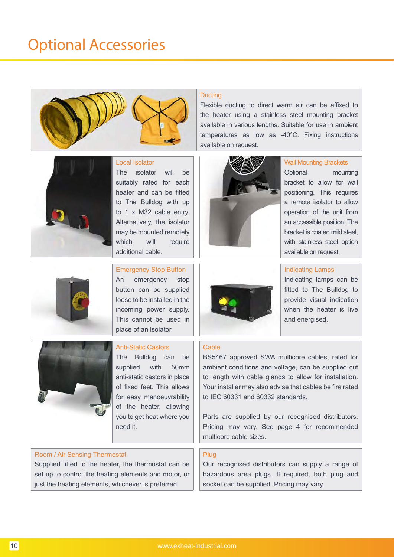





The isolator will be suitably rated for each heater and can be fitted to The Bulldog with up to 1 x M32 cable entry. Alternatively, the isolator may be mounted remotely which will require additional cable.

Emergency Stop Button

An emergency stop button can be supplied loose to be installed in the incoming power supply. This cannot be used in place of an isolator.



### Anti-Static Castors

The Bulldog can be supplied with 50mm anti-static castors in place of fixed feet. This allows for easy manoeuvrability of the heater, allowing you to get heat where you need it.

## Room / Air Sensing Thermostat

Supplied fitted to the heater, the thermostat can be set up to control the heating elements and motor, or just the heating elements, whichever is preferred.

### **Ducting**

Flexible ducting to direct warm air can be affixed to the heater using a stainless steel mounting bracket available in various lengths. Suitable for use in ambient temperatures as low as -40°C. Fixing instructions available on request.



Wall Mounting Brackets

Optional mounting bracket to allow for wall positioning. This requires a remote isolator to allow operation of the unit from an accessible position. The bracket is coated mild steel, with stainless steel option available on request.



Indicating Lamps

Indicating lamps can be fitted to The Bulldog to provide visual indication when the heater is live and energised.

### **Cable**

BS5467 approved SWA multicore cables, rated for ambient conditions and voltage, can be supplied cut to length with cable glands to allow for installation. Your installer may also advise that cables be fire rated to IEC 60331 and 60332 standards.

Parts are supplied by our recognised distributors. Pricing may vary. See page 4 for recommended multicore cable sizes.

### Plug

Our recognised distributors can supply a range of hazardous area plugs. If required, both plug and socket can be supplied. Pricing may vary.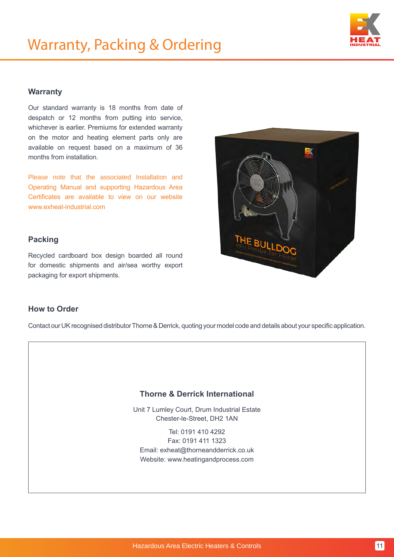

### **Warranty**

Our standard warranty is 18 months from date of despatch or 12 months from putting into service, whichever is earlier. Premiums for extended warranty on the motor and heating element parts only are available on request based on a maximum of 36 months from installation.

Please note that the associated Installation and Operating Manual and supporting Hazardous Area Certificates are available to view on our website www.exheat-industrial.com

## **Packing**

Recycled cardboard box design boarded all round for domestic shipments and air/sea worthy export packaging for export shipments.



## **How to Order**

Contact our UK recognised distributor Thorne & Derrick, quoting your model code and details about your specific application.

### **Thorne & Derrick International**

Unit 7 Lumley Court, Drum Industrial Estate Chester-le-Street, DH2 1AN

Tel: 0191 410 4292 Fax: 0191 411 1323 Email: exheat@thorneandderrick.co.uk Website: www.heatingandprocess.com